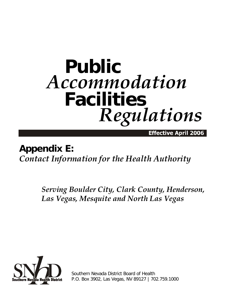# **Public** *Accommodation* **Facilities** *Regulations*

Effective April 2006

## **Appendix E:**  *Contact Information for the Health Authority*

*Serving Boulder City, Clark County, Henderson, Las Vegas, Mesquite and North Las Vegas*



Southern Nevada District Board of Health P.O. Box 3902, Las Vegas, NV 89127 | 702.759.1000